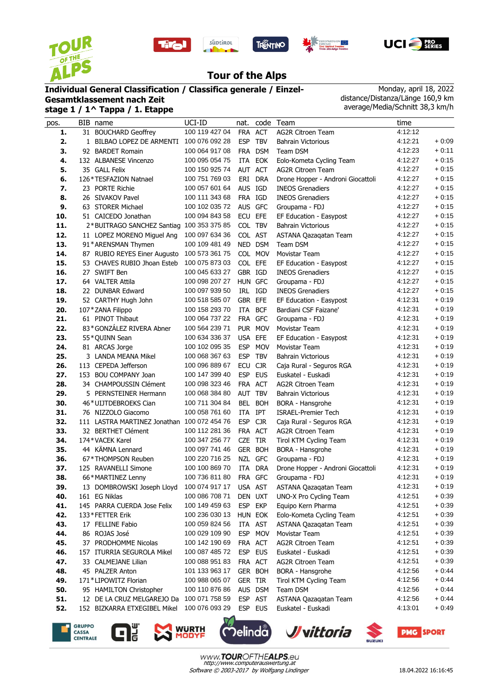









## **Tour of the Alps**

## **Individual General Classification / Classifica generale / Einzel-**

**Gesamtklassement nach Zeit stage 1 / 1^ Tappa / 1. Etappe**

Monday, april 18, 2022 distance/Distanza/Länge 160,9 km average/Media/Schnitt 38,3 km/h

| pos. | BIB name                                    | UCI-ID         | nat.       | code       | Team                              | time    |         |
|------|---------------------------------------------|----------------|------------|------------|-----------------------------------|---------|---------|
| 1.   | 31 BOUCHARD Geoffrey                        | 100 119 427 04 | <b>FRA</b> | ACT        | <b>AG2R Citroen Team</b>          | 4:12:12 |         |
| 2.   | 1 BILBAO LOPEZ DE ARMENTI                   | 100 076 092 28 | <b>ESP</b> | <b>TBV</b> | <b>Bahrain Victorious</b>         | 4:12:21 | $+0.09$ |
| 3.   | 92 BARDET Romain                            | 100 064 917 08 |            | FRA DSM    | Team DSM                          | 4:12:23 | $+0:11$ |
| 4.   | 132 ALBANESE Vincenzo                       | 100 095 054 75 | ITA        | EOK        | Eolo-Kometa Cycling Team          | 4:12:27 | $+0:15$ |
| 5.   | 35 GALL Felix                               | 100 150 925 74 | AUT ACT    |            | <b>AG2R Citroen Team</b>          | 4:12:27 | $+0.15$ |
| 6.   | 126*TESFAZION Natnael                       | 100 751 769 03 |            | ERI DRA    | Drone Hopper - Androni Giocattoli | 4:12:27 | $+0:15$ |
| 7.   | 23 PORTE Richie                             | 100 057 601 64 | AUS IGD    |            | <b>INEOS Grenadiers</b>           | 4:12:27 | $+0:15$ |
| 8.   | 26 SIVAKOV Pavel                            | 100 111 343 68 | FRA IGD    |            | <b>INEOS Grenadiers</b>           | 4:12:27 | $+0:15$ |
| 9.   | 63 STORER Michael                           | 100 102 035 72 |            | AUS GFC    | Groupama - FDJ                    | 4:12:27 | $+0:15$ |
| 10.  | 51 CAICEDO Jonathan                         | 100 094 843 58 | ECU EFE    |            | EF Education - Easypost           | 4:12:27 | $+0:15$ |
| 11.  | 2*BUITRAGO SANCHEZ Santiag                  | 100 353 375 85 | COL TBV    |            | <b>Bahrain Victorious</b>         | 4:12:27 | $+0:15$ |
| 12.  | 11 LOPEZ MORENO Miquel Ang                  | 100 097 634 36 | COL AST    |            | ASTANA Qazaqatan Team             | 4:12:27 | $+0:15$ |
| 13.  | 91*ARENSMAN Thymen                          | 100 109 481 49 |            | NED DSM    | Team DSM                          | 4:12:27 | $+0:15$ |
| 14.  | 87 RUBIO REYES Einer Augusto                | 100 573 361 75 |            | COL MOV    | Movistar Team                     | 4:12:27 | $+0:15$ |
| 15.  | 53 CHAVES RUBIO Jhoan Esteb                 | 100 075 873 03 | COL EFE    |            | EF Education - Easypost           | 4:12:27 | $+0:15$ |
| 16.  | 27 SWIFT Ben                                | 100 045 633 27 | GBR IGD    |            | <b>INEOS Grenadiers</b>           | 4:12:27 | $+0:15$ |
| 17.  | 64 VALTER Attila                            | 100 098 207 27 | HUN GFC    |            | Groupama - FDJ                    | 4:12:27 | $+0:15$ |
| 18.  | 22 DUNBAR Edward                            | 100 097 939 50 |            | IRL IGD    | <b>INEOS Grenadiers</b>           | 4:12:27 | $+0:15$ |
| 19.  | 52 CARTHY Hugh John                         | 100 518 585 07 | GBR EFE    |            | EF Education - Easypost           | 4:12:31 | $+0:19$ |
| 20.  | 107*ZANA Filippo                            | 100 158 293 70 | ITA        | <b>BCF</b> | Bardiani CSF Faizane'             | 4:12:31 | $+0.19$ |
| 21.  | 61 PINOT Thibaut                            | 100 064 737 22 |            | FRA GFC    | Groupama - FDJ                    | 4:12:31 | $+0:19$ |
| 22.  | 83*GONZÁLEZ RIVERA Abner                    | 100 564 239 71 |            | PUR MOV    | Movistar Team                     | 4:12:31 | $+0.19$ |
| 23.  | 55*QUINN Sean                               | 100 634 336 37 | USA EFE    |            | EF Education - Easypost           | 4:12:31 | $+0:19$ |
| 24.  | 81 ARCAS Jorge                              | 100 102 095 35 | <b>ESP</b> | <b>MOV</b> | Movistar Team                     | 4:12:31 | $+0:19$ |
| 25.  | 3 LANDA MEANA Mikel                         | 100 068 367 63 | <b>ESP</b> | <b>TBV</b> | <b>Bahrain Victorious</b>         | 4:12:31 | $+0:19$ |
| 26.  | 113 CEPEDA Jefferson                        | 100 096 889 67 | <b>ECU</b> | <b>CJR</b> | Caja Rural - Seguros RGA          | 4:12:31 | $+0.19$ |
| 27.  | 153 BOU COMPANY Joan                        | 100 147 399 40 | ESP EUS    |            | Euskatel - Euskadi                | 4:12:31 | $+0:19$ |
| 28.  | 34 CHAMPOUSSIN Clément                      | 100 098 323 46 | FRA ACT    |            | <b>AG2R Citroen Team</b>          | 4:12:31 | $+0:19$ |
| 29.  | 5 PERNSTEINER Hermann                       | 100 068 384 80 | AUT TBV    |            | <b>Bahrain Victorious</b>         | 4:12:31 | $+0:19$ |
| 30.  | 46*UIJTDEBROEKS Cian                        | 100 711 304 84 |            | BEL BOH    | BORA - Hansgrohe                  | 4:12:31 | $+0:19$ |
| 31.  | 76 NIZZOLO Giacomo                          | 100 058 761 60 | ITA        | IPT        | <b>ISRAEL-Premier Tech</b>        | 4:12:31 | $+0.19$ |
| 32.  | 111 LASTRA MARTINEZ Jonathan 100 072 454 76 |                | <b>ESP</b> | <b>CJR</b> | Caja Rural - Seguros RGA          | 4:12:31 | $+0:19$ |
| 33.  | 32 BERTHET Clément                          | 100 112 281 36 | FRA ACT    |            | <b>AG2R Citroen Team</b>          | 4:12:31 | $+0.19$ |
| 34.  | 174*VACEK Karel                             | 100 347 256 77 | <b>CZE</b> | <b>TIR</b> | Tirol KTM Cycling Team            | 4:12:31 | $+0:19$ |
| 35.  | 44 KÄMNA Lennard                            | 100 097 741 46 |            | GER BOH    | BORA - Hansgrohe                  | 4:12:31 | $+0:19$ |
| 36.  | 67*THOMPSON Reuben                          | 100 220 716 25 |            | NZL GFC    | Groupama - FDJ                    | 4:12:31 | $+0:19$ |
| 37.  | 125 RAVANELLI Simone                        | 100 100 869 70 | ITA        | <b>DRA</b> | Drone Hopper - Androni Giocattoli | 4:12:31 | $+0:19$ |
| 38.  | 66*MARTINEZ Lenny                           | 100 736 811 80 |            | FRA GFC    | Groupama - FDJ                    | 4:12:31 | $+0.19$ |
| 39.  | 13 DOMBROWSKI Joseph Lloyd                  | 100 074 917 17 | <b>USA</b> | <b>AST</b> | ASTANA Qazaqatan Team             | 4:12:31 | $+0.19$ |
| 40.  | 161 EG Niklas                               | 100 086 708 71 |            | DEN UXT    | UNO-X Pro Cycling Team            | 4:12:51 | $+0.39$ |
| 41.  | 145 PARRA CUERDA Jose Felix                 | 100 149 459 63 | <b>ESP</b> | EKP        | Equipo Kern Pharma                | 4:12:51 | $+0.39$ |
| 42.  | 133*FETTER Erik                             | 100 236 030 13 |            | HUN EOK    | Eolo-Kometa Cycling Team          | 4:12:51 | $+0.39$ |
| 43.  | 17 FELLINE Fabio                            | 100 059 824 56 |            | ITA AST    | ASTANA Qazaqatan Team             | 4:12:51 | $+0.39$ |
| 44.  | 86 ROJAS José                               | 100 029 109 90 | ESP        | <b>MOV</b> | Movistar Team                     | 4:12:51 | $+0.39$ |
| 45.  | 37 PRODHOMME Nicolas                        | 100 142 190 69 |            | FRA ACT    | AG2R Citroen Team                 | 4:12:51 | $+0.39$ |
| 46.  | 157 ITURRIA SEGUROLA Mikel                  | 100 087 485 72 |            | ESP EUS    | Euskatel - Euskadi                | 4:12:51 | $+0.39$ |
| 47.  | 33 CALMEJANE Lilian                         | 100 088 951 83 |            | FRA ACT    | AG2R Citroen Team                 | 4:12:51 | $+0.39$ |
| 48.  | 45 PALZER Anton                             | 101 133 963 17 |            | GER BOH    | <b>BORA - Hansgrohe</b>           | 4:12:56 | $+0.44$ |
| 49.  | 171*LIPOWITZ Florian                        | 100 988 065 07 | GER TIR    |            | Tirol KTM Cycling Team            | 4:12:56 | $+0.44$ |
| 50.  | 95 HAMILTON Christopher                     | 100 110 876 86 |            | AUS DSM    | Team DSM                          | 4:12:56 | $+0.44$ |
| 51.  | 12 DE LA CRUZ MELGAREJO Da                  | 100 071 758 59 |            | ESP AST    | ASTANA Qazaqatan Team             | 4:12:56 | $+0.44$ |
| 52.  | 152 BIZKARRA ETXEGIBEL Mikel                | 100 076 093 29 |            | ESP EUS    | Euskatel - Euskadi                | 4:13:01 | $+0.49$ |
|      |                                             |                |            |            |                                   |         |         |









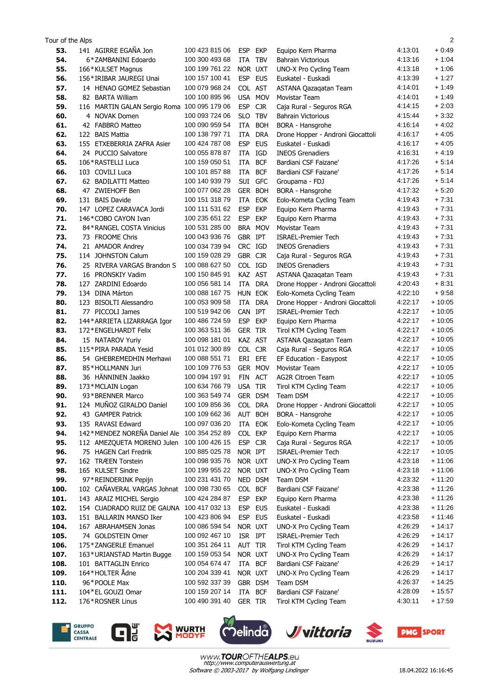| Tour of the Alps |                                                     |                                  |                    |            |                                   |                    | $\overline{2}$       |
|------------------|-----------------------------------------------------|----------------------------------|--------------------|------------|-----------------------------------|--------------------|----------------------|
| 53.              | 141 AGIRRE EGAÑA Jon                                | 100 423 815 06                   | <b>ESP</b>         | <b>EKP</b> | Equipo Kern Pharma                | 4:13:01            | $+0.49$              |
| 54.              | 6*ZAMBANINI Edoardo                                 | 100 300 493 68                   | ITA                | <b>TBV</b> | <b>Bahrain Victorious</b>         | 4:13:16            | $+1:04$              |
| 55.              | 166*KULSET Magnus                                   | 100 199 761 22                   | NOR UXT            |            | UNO-X Pro Cycling Team            | 4:13:18            | $+1:06$              |
| 56.              | 156 * IRIBAR JAUREGI Unai                           | 100 157 100 41                   | ESP EUS            |            | Euskatel - Euskadi                | 4:13:39            | $+1:27$              |
| 57.              | 14 HENAO GOMEZ Sebastian                            | 100 079 968 24                   | COL AST            |            | ASTANA Qazaqatan Team             | 4:14:01            | $+1:49$              |
| 58.              | 82 BARTA William                                    | 100 100 895 96                   | USA MOV            |            | Movistar Team                     | 4:14:01            | $+1:49$              |
| 59.              | 116 MARTIN GALAN Sergio Roma 100 095 179 06         |                                  | <b>ESP</b>         | <b>CJR</b> | Caja Rural - Seguros RGA          | 4:14:15            | $+2:03$              |
| 60.              | 4 NOVAK Domen                                       | 100 093 724 06                   | SLO.               | <b>TBV</b> | <b>Bahrain Victorious</b>         | 4:15:44            | $+3:32$              |
| 61.              | 42 FABBRO Matteo                                    | 100 090 959 54                   | ITA                | <b>BOH</b> | <b>BORA - Hansgrohe</b>           | 4:16:14            | $+4:02$              |
| 62.              | 122 BAIS Mattia                                     | 100 138 797 71                   | ITA                | <b>DRA</b> | Drone Hopper - Androni Giocattoli | 4:16:17            | $+4.05$              |
| 63.              | 155 ETXEBERRIA ZAFRA Asier                          | 100 424 787 08                   | <b>ESP</b>         | <b>EUS</b> | Euskatel - Euskadi                | 4:16:17            | $+4.05$              |
| 64.              | 24 PUCCIO Salvatore                                 | 100 055 878 87                   | ITA                | IGD        | <b>INEOS Grenadiers</b>           | 4:16:31            | $+4.19$              |
| 65.              | 106 * RASTELLI Luca                                 | 100 159 050 51                   | ITA                | <b>BCF</b> | Bardiani CSF Faizane'             | 4:17:26            | $+5:14$              |
| 66.              | 103 COVILI Luca                                     | 100 101 857 88                   | ITA                | <b>BCF</b> | Bardiani CSF Faizane'             | 4:17:26            | $+5.14$              |
| 67.              | 62 BADILATTI Matteo                                 | 100 140 939 79                   | SUI GFC            |            | Groupama - FDJ                    | 4:17:26            | $+5:14$              |
| 68.              | 47 ZWIEHOFF Ben                                     | 100 077 062 28                   | GER BOH            |            | BORA - Hansgrohe                  | 4:17:32            | $+5:20$              |
| 69.              | 131 BAIS Davide                                     | 100 151 318 79                   | ITA                | EOK        | Eolo-Kometa Cycling Team          | 4:19:43            | $+7:31$              |
| 70.              | 147 LOPEZ CARAVACA Jordi                            | 100 111 531 62                   | <b>ESP</b>         | <b>EKP</b> | Equipo Kern Pharma                | 4:19:43            | $+7:31$              |
| 71.              | 146*COBO CAYON Ivan                                 | 100 235 651 22                   | <b>ESP</b>         | <b>EKP</b> | Equipo Kern Pharma                | 4:19:43            | $+7:31$              |
| 72.              | 84*RANGEL COSTA Vinicius                            | 100 531 285 00                   | BRA MOV            |            | Movistar Team                     | 4:19:43            | $+7:31$              |
| 73.              | 73 FROOME Chris                                     | 100 043 936 76                   | GBR IPT            |            | <b>ISRAEL-Premier Tech</b>        | 4:19:43            | $+7:31$              |
| 74.              | 21 AMADOR Andrey                                    | 100 034 739 94                   | CRC IGD            |            | <b>INEOS Grenadiers</b>           | 4:19:43            | $+7:31$              |
| 75.              | 114 JOHNSTON Calum                                  | 100 159 028 29                   | GBR CJR            |            | Caja Rural - Seguros RGA          | 4:19:43            | $+7:31$              |
| 76.              | 25 RIVERA VARGAS Brandon S                          | 100 088 627 50                   | COL IGD            |            | <b>INEOS Grenadiers</b>           | 4:19:43            | $+7:31$              |
| 77.              | 16 PRONSKIY Vadim                                   | 100 150 845 91                   | KAZ AST            |            | ASTANA Qazaqatan Team             | 4:19:43            | $+7:31$              |
| 78.              | 127 ZARDINI Edoardo                                 | 100 056 581 14                   | ITA DRA            |            | Drone Hopper - Androni Giocattoli | 4:20:43            | $+8:31$              |
| 79.              | 134 DINA Márton                                     | 100 088 167 75                   | HUN EOK            |            | Eolo-Kometa Cycling Team          | 4:22:10            | $+9.58$              |
| 80.              | 123 BISOLTI Alessandro                              | 100 053 909 58                   | ITA                | DRA        | Drone Hopper - Androni Giocattoli | 4:22:17            | $+10:05$             |
| 81.              | 77 PICCOLI James                                    | 100 519 942 06                   | CAN IPT            |            | <b>ISRAEL-Premier Tech</b>        | 4:22:17            | $+10:05$             |
| 82.              | 144* ARRIETA LIZARRAGA Igor                         | 100 486 724 59                   | <b>ESP</b>         | <b>EKP</b> | Equipo Kern Pharma                | 4:22:17            | $+10:05$             |
| 83.              | 172 * ENGELHARDT Felix                              | 100 363 511 36                   | <b>GER</b>         | <b>TIR</b> | Tirol KTM Cycling Team            | 4:22:17            | $+10:05$             |
| 84.              | 15 NATAROV Yuriy                                    | 100 098 181 01                   | KAZ AST            |            | ASTANA Qazaqatan Team             | 4:22:17            | $+10:05$             |
| 85.              | 115*PIRA PARADA Yesid                               | 101 012 300 89                   | COL CJR            |            | Caja Rural - Seguros RGA          | 4:22:17            | $+10:05$             |
| 86.              | 54 GHEBREMEDHIN Merhawi                             | 100 088 551 71                   | ERI EFE            |            | EF Education - Easypost           | 4:22:17            | $+10:05$             |
| 87.              | 85*HOLLMANN Juri                                    | 100 109 776 53                   | GER MOV            |            | Movistar Team                     | 4:22:17            | $+10:05$             |
| 88.              | 36 HÄNNINEN Jaakko                                  | 100 094 197 91                   | FIN ACT            |            | <b>AG2R Citroen Team</b>          | 4:22:17            | $+10:05$             |
| 89.              | 173*MCLAIN Logan                                    | 100 634 766 79                   | USA TIR            |            | Tirol KTM Cycling Team            | 4:22:17            | $+10:05$             |
| 90.              | 93 * BRENNER Marco                                  | 100 363 549 74                   | GER DSM            |            | Team DSM                          | 4:22:17            | $+10:05$             |
| 91.              | 124 MUÑOZ GIRALDO Daniel                            | 100 109 856 36                   | COL DRA            |            | Drone Hopper - Androni Giocattoli | 4:22:17            | $+10:05$             |
| 92.              | 43 GAMPER Patrick                                   | 100 109 662 36                   | AUT BOH            |            | BORA - Hansgrohe                  | 4:22:17            | + 10:05              |
| 93.              | 135 RAVASI Edward                                   | 100 097 036 20                   | ITA EOK            |            | Eolo-Kometa Cycling Team          | 4:22:17            | $+10:05$             |
| 94.              | 142*MENDEZ NOREÑA Daniel Ale                        | 100 354 252 89                   | COL EKP            |            | Equipo Kern Pharma                | 4:22:17            | $+10:05$             |
| 95.              | 112 AMEZQUETA MORENO Julen                          | 100 100 426 15                   | ESP CJR            |            | Caja Rural - Seguros RGA          | 4:22:17            | $+10:05$             |
| 96.              | 75 HAGEN Carl Fredrik<br>162 TRÆEN Torstein         | 100 885 025 78<br>100 098 935 76 | NOR IPT            |            | <b>ISRAEL-Premier Tech</b>        | 4:22:17<br>4:23:18 | $+10:05$<br>$+11:06$ |
| 97.              |                                                     | 100 199 955 22                   | NOR UXT<br>NOR UXT |            | UNO-X Pro Cycling Team            | 4:23:18            | $+11:06$             |
| 98.              | 165 KULSET Sindre                                   | 100 231 431 70                   | NED DSM            |            | UNO-X Pro Cycling Team            | 4:23:32            | $+11:20$             |
| 99.<br>100.      | 97*REINDERINK Pepijn<br>102 CAÑAVERAL VARGAS Johnat | 100 098 730 65                   | COL BCF            |            | Team DSM<br>Bardiani CSF Faizane' | 4:23:38            | $+11:26$             |
| 101.             | 143 ARAIZ MICHEL Sergio                             | 100 424 284 87                   | <b>ESP</b>         | EKP        | Equipo Kern Pharma                | 4:23:38            | $+11:26$             |
| 102.             | 154 CUADRADO RUIZ DE GAUNA                          | 100 417 032 13                   | <b>ESP</b>         | <b>EUS</b> | Euskatel - Euskadi                | 4:23:38            | $+11:26$             |
| 103.             | 151 BALLARIN MANSO Iker                             | 100 423 806 94                   | ESP EUS            |            | Euskatel - Euskadi                | 4:23:58            | $+11:46$             |
| 104.             | 167 ABRAHAMSEN Jonas                                | 100 086 594 54                   | NOR UXT            |            | UNO-X Pro Cycling Team            | 4:26:29            | $+14:17$             |
| 105.             | 74 GOLDSTEIN Omer                                   | 100 092 467 10                   | ISR IPT            |            | <b>ISRAEL-Premier Tech</b>        | 4:26:29            | $+14:17$             |
| 106.             | 175 * ZANGERLE Emanuel                              | 100 351 264 11                   | AUT TIR            |            | Tirol KTM Cycling Team            | 4:26:29            | + 14:17              |
| 107.             | 163*URIANSTAD Martin Bugge                          | 100 159 053 54                   | NOR UXT            |            | UNO-X Pro Cycling Team            | 4:26:29            | + 14:17              |
| 108.             | 101 BATTAGLIN Enrico                                | 100 054 674 47                   | ITA BCF            |            | Bardiani CSF Faizane'             | 4:26:29            | $+14:17$             |
| 109.             | 164*HOLTER Ådne                                     | 100 204 339 41                   | NOR UXT            |            | UNO-X Pro Cycling Team            | 4:26:29            | + 14:17              |
| 110.             | 96*POOLE Max                                        | 100 592 337 39                   | GBR DSM            |            | Team DSM                          | 4:26:37            | + 14:25              |
| 111.             | 104 * EL GOUZI Omar                                 | 100 159 207 14                   | ITA BCF            |            | Bardiani CSF Faizane'             | 4:28:09            | $+15:57$             |
| 112.             | 176*ROSNER Linus                                    | 100 490 391 40                   | GER TIR            |            | Tirol KTM Cycling Team            | 4:30:11            | $+17:59$             |
|                  |                                                     |                                  |                    |            |                                   |                    |                      |











Software © 2003-2017 by Wolfgang Lindinger http://www.computerauswertung.at